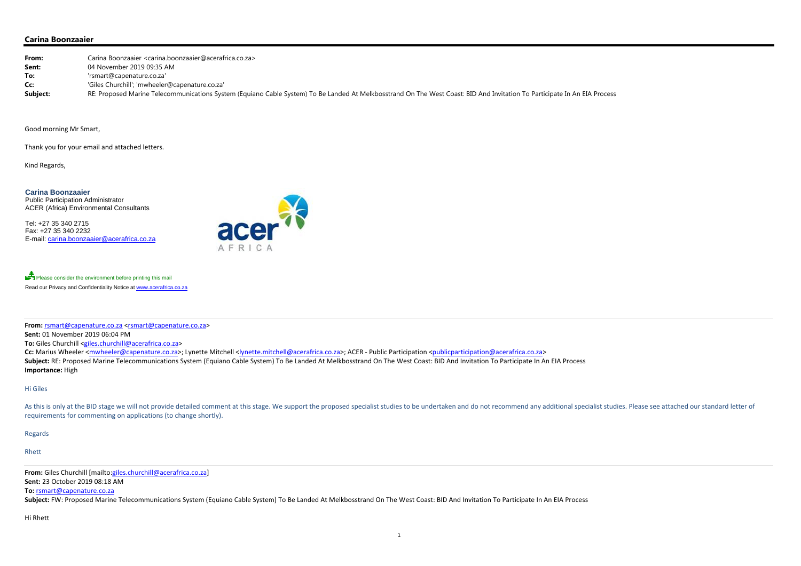## **Carina Boonzaaier**

| From:    | Carina Boonzaaier <carina.boonzaaier@acerafrica.co.za></carina.boonzaaier@acerafrica.co.za>                                                                               |
|----------|---------------------------------------------------------------------------------------------------------------------------------------------------------------------------|
| Sent:    | 04 November 2019 09:35 AM                                                                                                                                                 |
| To:      | 'rsmart@capenature.co.za'                                                                                                                                                 |
| Cc:      | 'Giles Churchill'; 'mwheeler@capenature.co.za'                                                                                                                            |
| Subject: | RE: Proposed Marine Telecommunications System (Equiano Cable System) To Be Landed At Melkbosstrand On The West Coast: BID And Invitation To Participate In An EIA Process |

Good morning Mr Smart,

Please consider the environment before printing this mail Read our Privacy and Confidentiality Notice at www.acerafrica.co.za

Thank you for your email and attached letters.

Kind Regards,

**Carina Boonzaaier** Public Participation Administrator ACER (Africa) Environmental Consultants

Tel: +27 35 340 2715 Fax: +27 35 340 2232 E-mail: carina.boonzaaier@acerafrica.co.za



As this is only at the BID stage we will not provide detailed comment at this stage. We support the proposed specialist studies to be undertaken and do not recommend any additional specialist studies. Please see attached o requirements for commenting on applications (to change shortly).

**From:** rsmart@capenature.co.za <rsmart@capenature.co.za>

**Sent:** 01 November 2019 06:04 PM

**To:** Giles Churchill <giles.churchill@acerafrica.co.za>

**Cc:** Marius Wheeler <mwheeler@capenature.co.za>; Lynette Mitchell <lynette.mitchell@acerafrica.co.za>; ACER ‐ Public Participation <publicparticipation@acerafrica.co.za> Subject: RE: Proposed Marine Telecommunications System (Equiano Cable System) To Be Landed At Melkbosstrand On The West Coast: BID And Invitation To Participate In An EIA Process **Importance:** High

#### Hi Giles

Regards

### Rhett

**From:** Giles Churchill [mailto:giles.churchill@acerafrica.co.za] **Sent:** 23 October 2019 08:18 AM

### **To:** rsmart@capenature.co.za

Subject: FW: Proposed Marine Telecommunications System (Equiano Cable System) To Be Landed At Melkbosstrand On The West Coast: BID And Invitation To Participate In An EIA Process

### Hi Rhett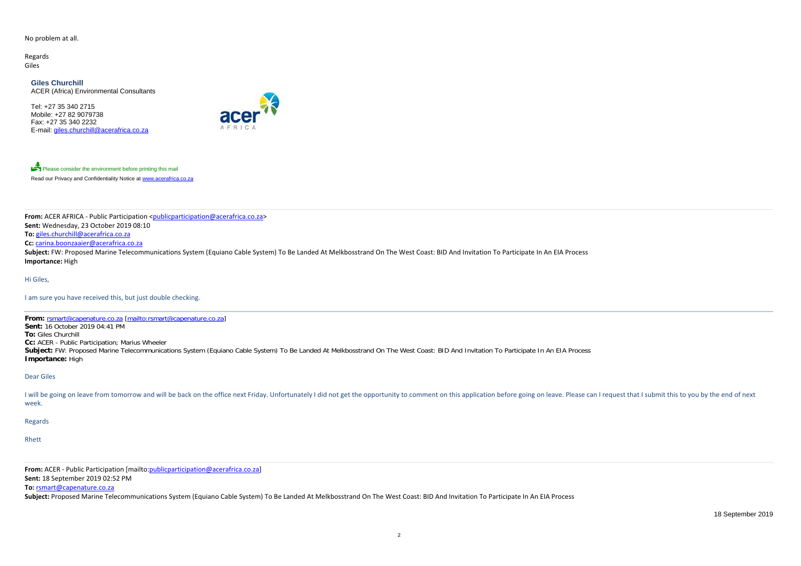### No problem at all.

Regards Giles

> **Giles Churchill**ACER (Africa) Environmental Consultants

Tel: +27 35 340 2715 Mobile: +27 82 9079738 Fax: +27 35 340 2232E-mail: giles.churchill@acerafrica.co.za



Please consider the environment before printing this mail Read our Privacy and Confidentiality Notice at www.acerafrica.co.za

**From:** ACER AFRICA ‐ Public Participation <publicparticipation@acerafrica.co.za> **Sent:** Wednesday, 23 October 2019 08:10 **To:** giles.churchill@acerafrica.co.za **Cc:** carina.boonzaaier@acerafrica.co.za Subject: FW: Proposed Marine Telecommunications System (Equiano Cable System) To Be Landed At Melkbosstrand On The West Coast: BID And Invitation To Participate In An EIA Process **Importance:** High

I will be going on leave from tomorrow and will be back on the office next Friday. Unfortunately I did not get the opportunity to comment on this application before going on leave. Please can I request that I submit this t week.

Hi Giles,

I am sure you have received this, but just double checking.

**From:** rsmart@capenature.co.za [mailto:rsmart@capenature.co.za] **Sent:** 16 October 2019 04:41 PM **To:** Giles Churchill **Cc:** ACER - Public Participation; Marius Wheeler Subject: FW: Proposed Marine Telecommunications System (Equiano Cable System) To Be Landed At Melkbosstrand On The West Coast: BID And Invitation To Participate In An EIA Process **Importance:** High

Dear Giles

Regards

Rhett

**From:** ACER ‐ Public Participation [mailto:publicparticipation@acerafrica.co.za]

**Sent:** 18 September 2019 02:52 PM

**To:** rsmart@capenature.co.za

**Subject:** Proposed Marine Telecommunications System (Equiano Cable System) To Be Landed At Melkbosstrand On The West Coast: BID And Invitation To Participate In An EIA Process

18 September 2019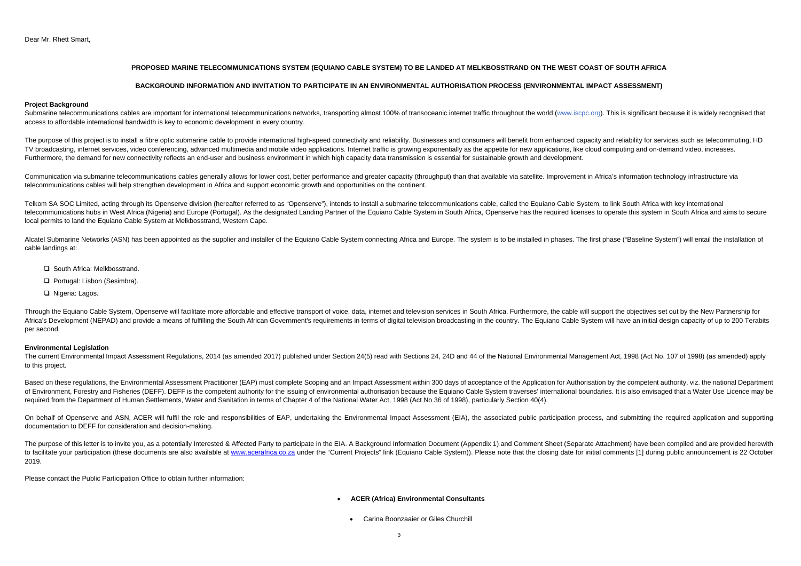# **PROPOSED MARINE TELECOMMUNICATIONS SYSTEM (EQUIANO CABLE SYSTEM) TO BE LANDED AT MELKBOSSTRAND ON THE WEST COAST OF SOUTH AFRICA**

# **BACKGROUND INFORMATION AND INVITATION TO PARTICIPATE IN AN ENVIRONMENTAL AUTHORISATION PROCESS (ENVIRONMENTAL IMPACT ASSESSMENT)**

### **Project Background**

Submarine telecommunications cables are important for international telecommunications networks, transporting almost 100% of transoceanic internet traffic throughout the world (www.iscpc.org). This is significant because i access to affordable international bandwidth is key to economic development in every country.

The purpose of this project is to install a fibre optic submarine cable to provide international high-speed connectivity and reliability. Businesses and consumers will benefit from enhanced capacity and reliability for ser TV broadcasting, internet services, video conferencing, advanced multimedia and mobile video applications. Internet traffic is growing exponentially as the appetite for new applications, like cloud computing and on-demand Furthermore, the demand for new connectivity reflects an end-user and business environment in which high capacity data transmission is essential for sustainable growth and development.

Communication via submarine telecommunications cables generally allows for lower cost, better performance and greater capacity (throughput) than that available via satellite. Improvement in Africa's information technology telecommunications cables will help strengthen development in Africa and support economic growth and opportunities on the continent.

Telkom SA SOC Limited, acting through its Openserve division (hereafter referred to as "Openserve"), intends to install a submarine telecommunications cable, called the Equiano Cable System, to link South Africa with key i telecommunications hubs in West Africa (Nigeria) and Europe (Portugal). As the designated Landing Partner of the Equiano Cable System in South Africa. Openserve has the required licenses to operate this system in South Afr local permits to land the Equiano Cable System at Melkbosstrand, Western Cape.

Alcatel Submarine Networks (ASN) has been appointed as the supplier and installer of the Equiano Cable System connecting Africa and Europe. The system is to be installed in phases. The first phase ("Baseline System") will cable landings at:

- □ South Africa: Melkbosstrand.
- Portugal: Lisbon (Sesimbra).
- □ Nigeria: Lagos.

Through the Equiano Cable System, Openserve will facilitate more affordable and effective transport of voice, data, internet and television services in South Africa. Furthermore, the cable will support the objectives set o Africa's Development (NEPAD) and provide a means of fulfilling the South African Government's requirements in terms of digital television broadcasting in the country. The Equiano Cable System will have an initial design ca per second.

The current Environmental Impact Assessment Regulations, 2014 (as amended 2017) published under Section 24(5) read with Sections 24, 24D and 44 of the National Environmental Management Act, 1998 (Act No. 107 of 1998) (as a to this project.

Based on these regulations, the Environmental Assessment Practitioner (EAP) must complete Scoping and an Impact Assessment within 300 days of acceptance of the Application for Authorisation by the competent authority, viz, of Environment, Forestry and Fisheries (DEFF). DEFF is the competent authority for the issuing of environmental authorisation because the Equiano Cable System traverses' international boundaries. It is also envisaged that required from the Department of Human Settlements, Water and Sanitation in terms of Chapter 4 of the National Water Act, 1998 (Act No 36 of 1998), particularly Section 40(4).

On behalf of Openserve and ASN, ACER will fulfil the role and responsibilities of EAP, undertaking the Environmental Impact Assessment (EIA), the associated public participation process, and submitting the required applica documentation to DEFF for consideration and decision-making.

The purpose of this letter is to invite you, as a potentially Interested & Affected Party to participate in the EIA. A Background Information Document (Appendix 1) and Comment Sheet (Separate Attachment) have been compiled to facilitate your participation (these documents are also available at www.acerafrica.co.za under the "Current Projects" link (Equiano Cable System)). Please note that the closing date for initial comments [1] during publ 2019.

### **Environmental Legislation**

Please contact the Public Participation Office to obtain further information:

- **ACER (Africa) Environmental Consultants**
- Carina Boonzaaier or Giles Churchill

 $\bullet$